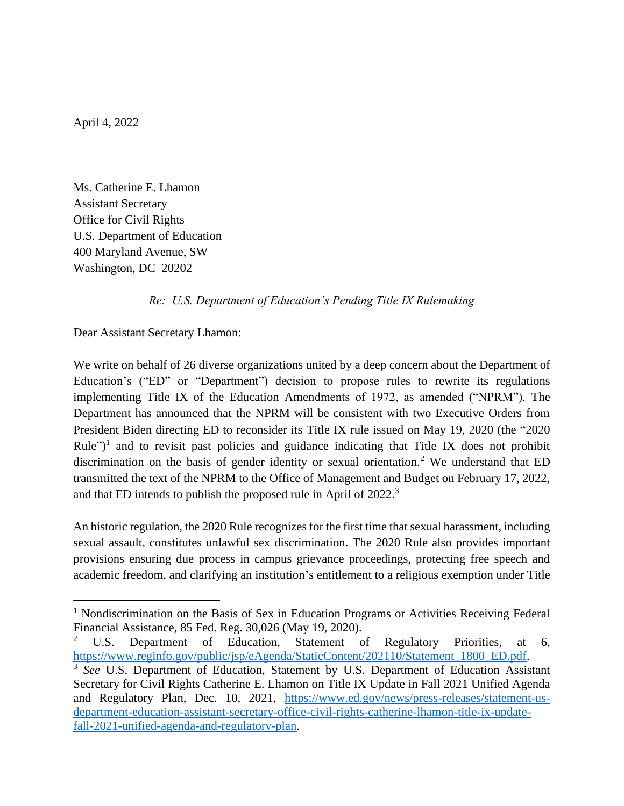April 4, 2022

Ms. Catherine E. Lhamon Assistant Secretary Office for Civil Rights U.S. Department of Education 400 Maryland Avenue, SW Washington, DC 20202

## *Re: U.S. Department of Education's Pending Title IX Rulemaking*

Dear Assistant Secretary Lhamon:

We write on behalf of 26 diverse organizations united by a deep concern about the Department of Education's ("ED" or "Department") decision to propose rules to rewrite its regulations implementing Title IX of the Education Amendments of 1972, as amended ("NPRM"). The Department has announced that the NPRM will be consistent with two Executive Orders from President Biden directing ED to reconsider its Title IX rule issued on May 19, 2020 (the "2020 Rule")<sup>1</sup> and to revisit past policies and guidance indicating that Title IX does not prohibit discrimination on the basis of gender identity or sexual orientation.<sup>2</sup> We understand that ED transmitted the text of the NPRM to the Office of Management and Budget on February 17, 2022, and that ED intends to publish the proposed rule in April of 2022.<sup>3</sup>

An historic regulation, the 2020 Rule recognizes for the first time that sexual harassment, including sexual assault, constitutes unlawful sex discrimination. The 2020 Rule also provides important provisions ensuring due process in campus grievance proceedings, protecting free speech and academic freedom, and clarifying an institution's entitlement to a religious exemption under Title

<sup>&</sup>lt;sup>1</sup> Nondiscrimination on the Basis of Sex in Education Programs or Activities Receiving Federal Financial Assistance, 85 Fed. Reg. 30,026 (May 19, 2020).

U.S. Department of Education, Statement of Regulatory Priorities, at 6, [https://www.reginfo.gov/public/jsp/eAgenda/StaticContent/202110/Statement\\_1800\\_ED.pdf.](https://www.reginfo.gov/public/jsp/eAgenda/StaticContent/202110/Statement_1800_ED.pdf)

<sup>&</sup>lt;sup>3</sup> See U.S. Department of Education, Statement by U.S. Department of Education Assistant Secretary for Civil Rights Catherine E. Lhamon on Title IX Update in Fall 2021 Unified Agenda and Regulatory Plan, Dec. 10, 2021, [https://www.ed.gov/news/press-releases/statement-us](https://www.ed.gov/news/press-releases/statement-us-department-education-assistant-secretary-office-civil-rights-catherine-lhamon-title-ix-update-fall-2021-unified-agenda-and-regulatory-plan)[department-education-assistant-secretary-office-civil-rights-catherine-lhamon-title-ix-update](https://www.ed.gov/news/press-releases/statement-us-department-education-assistant-secretary-office-civil-rights-catherine-lhamon-title-ix-update-fall-2021-unified-agenda-and-regulatory-plan)[fall-2021-unified-agenda-and-regulatory-plan.](https://www.ed.gov/news/press-releases/statement-us-department-education-assistant-secretary-office-civil-rights-catherine-lhamon-title-ix-update-fall-2021-unified-agenda-and-regulatory-plan)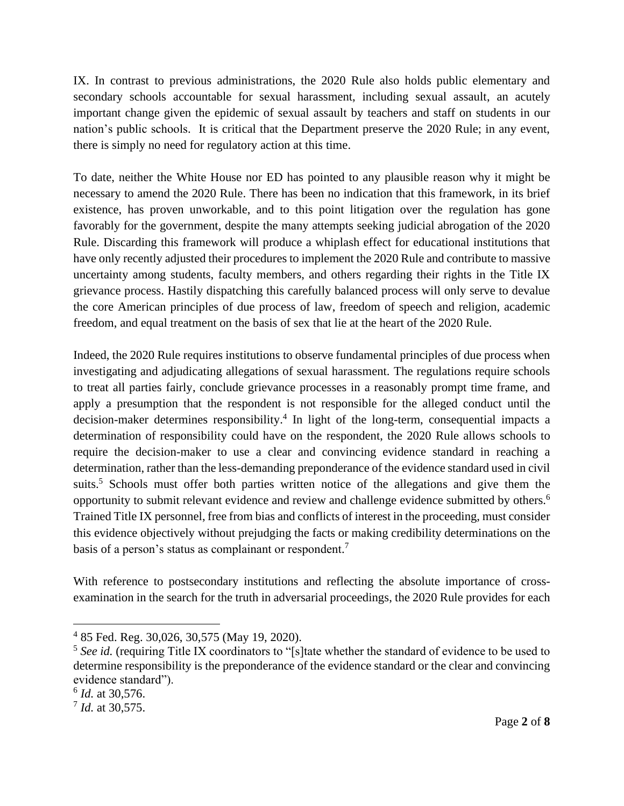IX. In contrast to previous administrations, the 2020 Rule also holds public elementary and secondary schools accountable for sexual harassment, including sexual assault, an acutely important change given the epidemic of sexual assault by teachers and staff on students in our nation's public schools. It is critical that the Department preserve the 2020 Rule; in any event, there is simply no need for regulatory action at this time.

To date, neither the White House nor ED has pointed to any plausible reason why it might be necessary to amend the 2020 Rule. There has been no indication that this framework, in its brief existence, has proven unworkable, and to this point litigation over the regulation has gone favorably for the government, despite the many attempts seeking judicial abrogation of the 2020 Rule. Discarding this framework will produce a whiplash effect for educational institutions that have only recently adjusted their procedures to implement the 2020 Rule and contribute to massive uncertainty among students, faculty members, and others regarding their rights in the Title IX grievance process. Hastily dispatching this carefully balanced process will only serve to devalue the core American principles of due process of law, freedom of speech and religion, academic freedom, and equal treatment on the basis of sex that lie at the heart of the 2020 Rule.

Indeed, the 2020 Rule requires institutions to observe fundamental principles of due process when investigating and adjudicating allegations of sexual harassment. The regulations require schools to treat all parties fairly, conclude grievance processes in a reasonably prompt time frame, and apply a presumption that the respondent is not responsible for the alleged conduct until the decision-maker determines responsibility. 4 In light of the long-term, consequential impacts a determination of responsibility could have on the respondent, the 2020 Rule allows schools to require the decision-maker to use a clear and convincing evidence standard in reaching a determination, rather than the less-demanding preponderance of the evidence standard used in civil suits.<sup>5</sup> Schools must offer both parties written notice of the allegations and give them the opportunity to submit relevant evidence and review and challenge evidence submitted by others.<sup>6</sup> Trained Title IX personnel, free from bias and conflicts of interest in the proceeding, must consider this evidence objectively without prejudging the facts or making credibility determinations on the basis of a person's status as complainant or respondent.<sup>7</sup>

With reference to postsecondary institutions and reflecting the absolute importance of crossexamination in the search for the truth in adversarial proceedings, the 2020 Rule provides for each

<sup>4</sup> 85 Fed. Reg. 30,026, 30,575 (May 19, 2020).

<sup>&</sup>lt;sup>5</sup> See id. (requiring Title IX coordinators to "[s] tate whether the standard of evidence to be used to determine responsibility is the preponderance of the evidence standard or the clear and convincing evidence standard").

<sup>6</sup> *Id.* at 30,576.

<sup>7</sup> *Id.* at 30,575.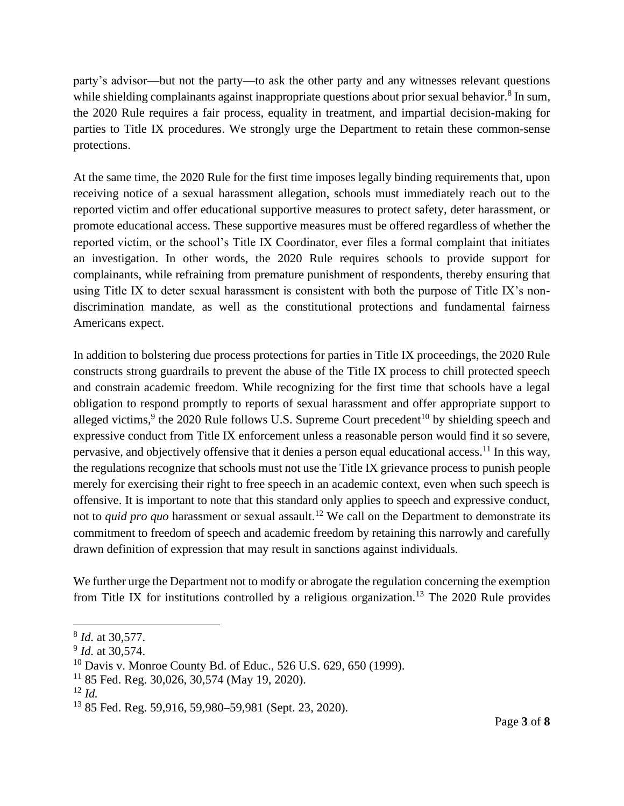party's advisor—but not the party—to ask the other party and any witnesses relevant questions while shielding complainants against inappropriate questions about prior sexual behavior.<sup>8</sup> In sum, the 2020 Rule requires a fair process, equality in treatment, and impartial decision-making for parties to Title IX procedures. We strongly urge the Department to retain these common-sense protections.

At the same time, the 2020 Rule for the first time imposes legally binding requirements that, upon receiving notice of a sexual harassment allegation, schools must immediately reach out to the reported victim and offer educational supportive measures to protect safety, deter harassment, or promote educational access. These supportive measures must be offered regardless of whether the reported victim, or the school's Title IX Coordinator, ever files a formal complaint that initiates an investigation. In other words, the 2020 Rule requires schools to provide support for complainants, while refraining from premature punishment of respondents, thereby ensuring that using Title IX to deter sexual harassment is consistent with both the purpose of Title IX's nondiscrimination mandate, as well as the constitutional protections and fundamental fairness Americans expect.

In addition to bolstering due process protections for parties in Title IX proceedings, the 2020 Rule constructs strong guardrails to prevent the abuse of the Title IX process to chill protected speech and constrain academic freedom. While recognizing for the first time that schools have a legal obligation to respond promptly to reports of sexual harassment and offer appropriate support to alleged victims,  $9$  the 2020 Rule follows U.S. Supreme Court precedent<sup>10</sup> by shielding speech and expressive conduct from Title IX enforcement unless a reasonable person would find it so severe, pervasive, and objectively offensive that it denies a person equal educational access.<sup>11</sup> In this way, the regulations recognize that schools must not use the Title IX grievance process to punish people merely for exercising their right to free speech in an academic context, even when such speech is offensive. It is important to note that this standard only applies to speech and expressive conduct, not to *quid pro quo* harassment or sexual assault. <sup>12</sup> We call on the Department to demonstrate its commitment to freedom of speech and academic freedom by retaining this narrowly and carefully drawn definition of expression that may result in sanctions against individuals.

We further urge the Department not to modify or abrogate the regulation concerning the exemption from Title IX for institutions controlled by a religious organization.<sup>13</sup> The 2020 Rule provides

<sup>8</sup> *Id.* at 30,577.

<sup>9</sup> *Id.* at 30,574.

 $10$  Davis v. Monroe County Bd. of Educ., 526 U.S. 629, 650 (1999).

 $11$  85 Fed. Reg. 30,026, 30,574 (May 19, 2020).

 $12 \, Id.$ 

<sup>13</sup> 85 Fed. Reg. 59,916, 59,980–59,981 (Sept. 23, 2020).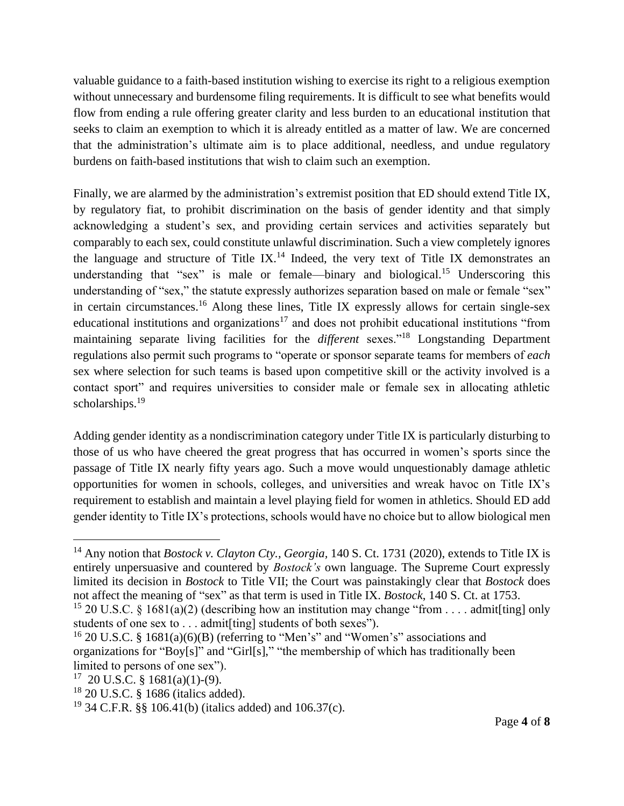valuable guidance to a faith-based institution wishing to exercise its right to a religious exemption without unnecessary and burdensome filing requirements. It is difficult to see what benefits would flow from ending a rule offering greater clarity and less burden to an educational institution that seeks to claim an exemption to which it is already entitled as a matter of law. We are concerned that the administration's ultimate aim is to place additional, needless, and undue regulatory burdens on faith-based institutions that wish to claim such an exemption.

Finally, we are alarmed by the administration's extremist position that ED should extend Title IX, by regulatory fiat, to prohibit discrimination on the basis of gender identity and that simply acknowledging a student's sex, and providing certain services and activities separately but comparably to each sex, could constitute unlawful discrimination. Such a view completely ignores the language and structure of Title IX.<sup>14</sup> Indeed, the very text of Title IX demonstrates an understanding that "sex" is male or female—binary and biological.<sup>15</sup> Underscoring this understanding of "sex," the statute expressly authorizes separation based on male or female "sex" in certain circumstances.<sup>16</sup> Along these lines, Title IX expressly allows for certain single-sex educational institutions and organizations<sup>17</sup> and does not prohibit educational institutions "from maintaining separate living facilities for the *different* sexes."<sup>18</sup> Longstanding Department regulations also permit such programs to "operate or sponsor separate teams for members of *each* sex where selection for such teams is based upon competitive skill or the activity involved is a contact sport" and requires universities to consider male or female sex in allocating athletic scholarships.<sup>19</sup>

Adding gender identity as a nondiscrimination category under Title IX is particularly disturbing to those of us who have cheered the great progress that has occurred in women's sports since the passage of Title IX nearly fifty years ago. Such a move would unquestionably damage athletic opportunities for women in schools, colleges, and universities and wreak havoc on Title IX's requirement to establish and maintain a level playing field for women in athletics. Should ED add gender identity to Title IX's protections, schools would have no choice but to allow biological men

<sup>14</sup> Any notion that *Bostock v. Clayton Cty., Georgia,* 140 S. Ct. 1731 (2020), extends to Title IX is entirely unpersuasive and countered by *Bostock's* own language. The Supreme Court expressly limited its decision in *Bostock* to Title VII; the Court was painstakingly clear that *Bostock* does not affect the meaning of "sex" as that term is used in Title IX. *Bostock*, 140 S. Ct. at 1753.

<sup>&</sup>lt;sup>15</sup> 20 U.S.C. § 1681(a)(2) (describing how an institution may change "from . . . . admit[ting] only students of one sex to ... admit [ting] students of both sexes").

<sup>&</sup>lt;sup>16</sup> 20 U.S.C. § 1681(a)(6)(B) (referring to "Men's" and "Women's" associations and organizations for "Boy[s]" and "Girl[s]," "the membership of which has traditionally been limited to persons of one sex").

 $17$  20 U.S.C. § 1681(a)(1)-(9).

<sup>18</sup> 20 U.S.C. § 1686 (italics added).

<sup>&</sup>lt;sup>19</sup> 34 C.F.R. §§ 106.41(b) (italics added) and 106.37(c).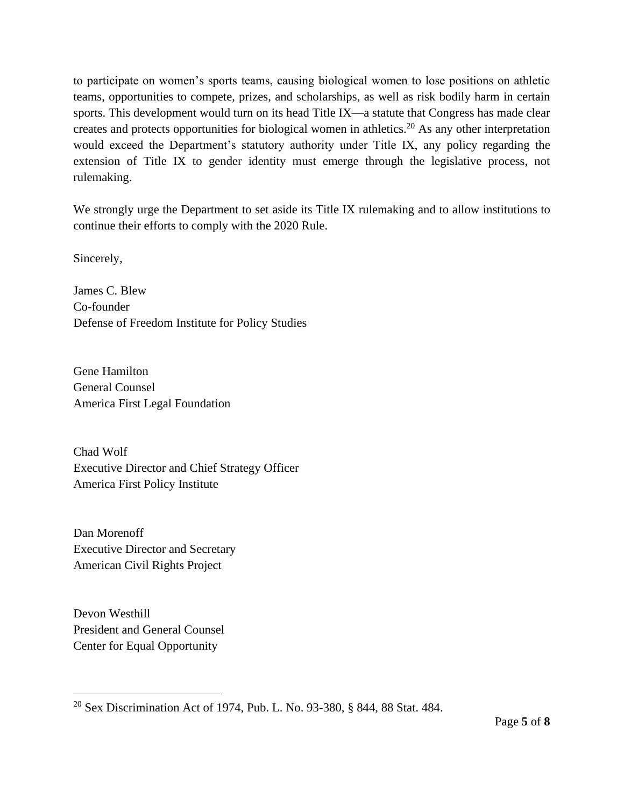to participate on women's sports teams, causing biological women to lose positions on athletic teams, opportunities to compete, prizes, and scholarships, as well as risk bodily harm in certain sports. This development would turn on its head Title IX—a statute that Congress has made clear creates and protects opportunities for biological women in athletics.<sup>20</sup> As any other interpretation would exceed the Department's statutory authority under Title IX, any policy regarding the extension of Title IX to gender identity must emerge through the legislative process, not rulemaking.

We strongly urge the Department to set aside its Title IX rulemaking and to allow institutions to continue their efforts to comply with the 2020 Rule.

Sincerely,

James C. Blew Co-founder Defense of Freedom Institute for Policy Studies

Gene Hamilton General Counsel America First Legal Foundation

Chad Wolf Executive Director and Chief Strategy Officer America First Policy Institute

Dan Morenoff Executive Director and Secretary American Civil Rights Project

Devon Westhill President and General Counsel Center for Equal Opportunity

<sup>&</sup>lt;sup>20</sup> Sex Discrimination Act of 1974, Pub. L. No. 93-380, § 844, 88 Stat. 484.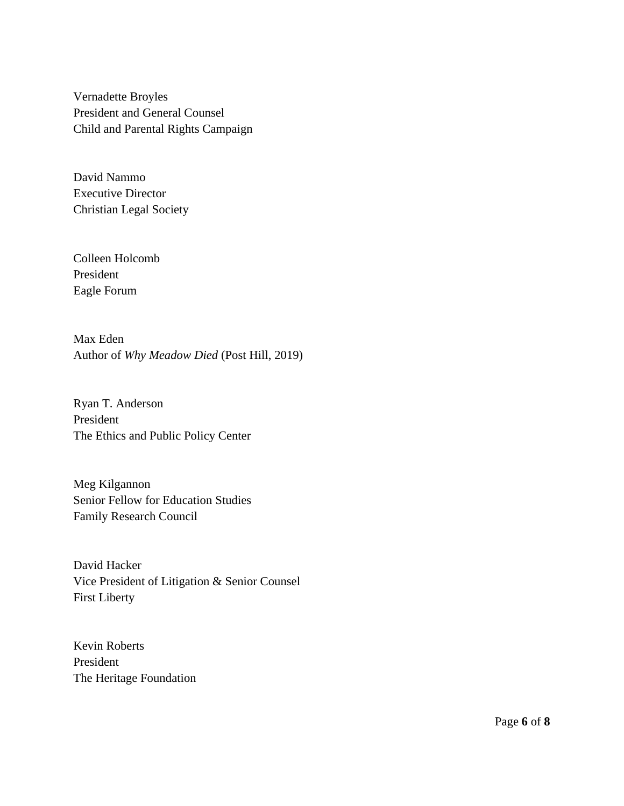Vernadette Broyles President and General Counsel Child and Parental Rights Campaign

David Nammo Executive Director Christian Legal Society

Colleen Holcomb President Eagle Forum

Max Eden Author of *Why Meadow Died* (Post Hill, 2019)

Ryan T. Anderson President The Ethics and Public Policy Center

Meg Kilgannon Senior Fellow for Education Studies Family Research Council

David Hacker Vice President of Litigation & Senior Counsel First Liberty

Kevin Roberts President The Heritage Foundation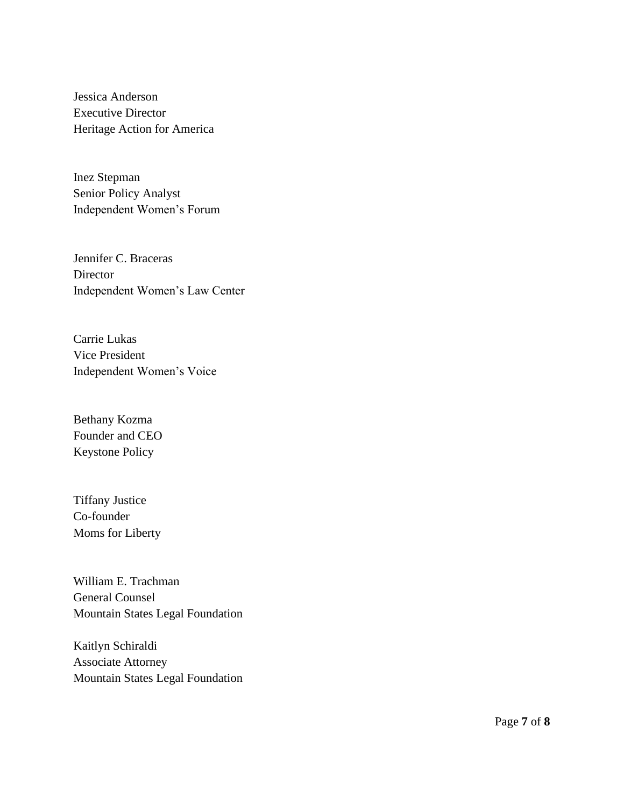Jessica Anderson Executive Director Heritage Action for America

Inez Stepman Senior Policy Analyst Independent Women's Forum

Jennifer C. Braceras Director Independent Women's Law Center

Carrie Lukas Vice President Independent Women's Voice

Bethany Kozma Founder and CEO Keystone Policy

Tiffany Justice Co-founder Moms for Liberty

William E. Trachman General Counsel Mountain States Legal Foundation

Kaitlyn Schiraldi Associate Attorney Mountain States Legal Foundation